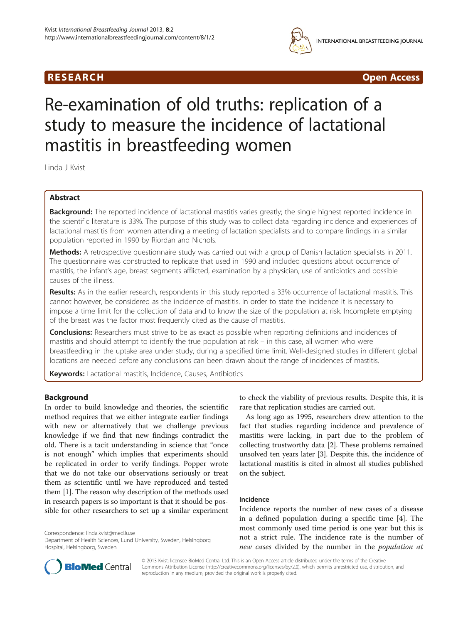# R E S EAR CH Open Access



# Re-examination of old truths: replication of a study to measure the incidence of lactational mastitis in breastfeeding women

Linda J Kvist

# Abstract

Background: The reported incidence of lactational mastitis varies greatly; the single highest reported incidence in the scientific literature is 33%. The purpose of this study was to collect data regarding incidence and experiences of lactational mastitis from women attending a meeting of lactation specialists and to compare findings in a similar population reported in 1990 by Riordan and Nichols.

Methods: A retrospective questionnaire study was carried out with a group of Danish lactation specialists in 2011. The questionnaire was constructed to replicate that used in 1990 and included questions about occurrence of mastitis, the infant's age, breast segments afflicted, examination by a physician, use of antibiotics and possible causes of the illness.

Results: As in the earlier research, respondents in this study reported a 33% occurrence of lactational mastitis. This cannot however, be considered as the incidence of mastitis. In order to state the incidence it is necessary to impose a time limit for the collection of data and to know the size of the population at risk. Incomplete emptying of the breast was the factor most frequently cited as the cause of mastitis.

**Conclusions:** Researchers must strive to be as exact as possible when reporting definitions and incidences of mastitis and should attempt to identify the true population at risk – in this case, all women who were breastfeeding in the uptake area under study, during a specified time limit. Well-designed studies in different global locations are needed before any conclusions can been drawn about the range of incidences of mastitis.

Keywords: Lactational mastitis, Incidence, Causes, Antibiotics

# Background

In order to build knowledge and theories, the scientific method requires that we either integrate earlier findings with new or alternatively that we challenge previous knowledge if we find that new findings contradict the old. There is a tacit understanding in science that "once is not enough" which implies that experiments should be replicated in order to verify findings. Popper wrote that we do not take our observations seriously or treat them as scientific until we have reproduced and tested them [\[1](#page-4-0)]. The reason why description of the methods used in research papers is so important is that it should be possible for other researchers to set up a similar experiment

Correspondence: [linda.kvist@med.lu.se](mailto:linda.kvist@med.lu.se)



As long ago as 1995, researchers drew attention to the fact that studies regarding incidence and prevalence of mastitis were lacking, in part due to the problem of collecting trustworthy data [[2\]](#page-4-0). These problems remained unsolved ten years later [\[3](#page-4-0)]. Despite this, the incidence of lactational mastitis is cited in almost all studies published on the subject.

## Incidence

Incidence reports the number of new cases of a disease in a defined population during a specific time [[4\]](#page-4-0). The most commonly used time period is one year but this is not a strict rule. The incidence rate is the number of new cases divided by the number in the population at



© 2013 Kvist; licensee BioMed Central Ltd. This is an Open Access article distributed under the terms of the Creative Commons Attribution License [\(http://creativecommons.org/licenses/by/2.0\)](http://creativecommons.org/licenses/by/2.0), which permits unrestricted use, distribution, and reproduction in any medium, provided the original work is properly cited.

Department of Health Sciences, Lund University, Sweden, Helsingborg Hospital, Helsingborg, Sweden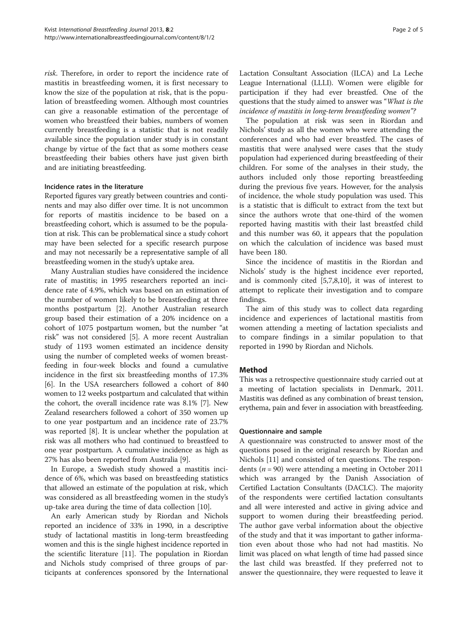risk. Therefore, in order to report the incidence rate of mastitis in breastfeeding women, it is first necessary to know the size of the population at risk, that is the population of breastfeeding women. Although most countries can give a reasonable estimation of the percentage of women who breastfeed their babies, numbers of women currently breastfeeding is a statistic that is not readily available since the population under study is in constant change by virtue of the fact that as some mothers cease breastfeeding their babies others have just given birth and are initiating breastfeeding.

#### Incidence rates in the literature

Reported figures vary greatly between countries and continents and may also differ over time. It is not uncommon for reports of mastitis incidence to be based on a breastfeeding cohort, which is assumed to be the population at risk. This can be problematical since a study cohort may have been selected for a specific research purpose and may not necessarily be a representative sample of all breastfeeding women in the study's uptake area.

Many Australian studies have considered the incidence rate of mastitis; in 1995 researchers reported an incidence rate of 4.9%, which was based on an estimation of the number of women likely to be breastfeeding at three months postpartum [[2\]](#page-4-0). Another Australian research group based their estimation of a 20% incidence on a cohort of 1075 postpartum women, but the number "at risk" was not considered [[5\]](#page-4-0). A more recent Australian study of 1193 women estimated an incidence density using the number of completed weeks of women breastfeeding in four-week blocks and found a cumulative incidence in the first six breastfeeding months of 17.3% [[6\]](#page-4-0). In the USA researchers followed a cohort of 840 women to 12 weeks postpartum and calculated that within the cohort, the overall incidence rate was 8.1% [\[7](#page-4-0)]. New Zealand researchers followed a cohort of 350 women up to one year postpartum and an incidence rate of 23.7% was reported [\[8](#page-4-0)]. It is unclear whether the population at risk was all mothers who had continued to breastfeed to one year postpartum. A cumulative incidence as high as 27% has also been reported from Australia [\[9](#page-4-0)].

In Europe, a Swedish study showed a mastitis incidence of 6%, which was based on breastfeeding statistics that allowed an estimate of the population at risk, which was considered as all breastfeeding women in the study's up-take area during the time of data collection [\[10](#page-4-0)].

An early American study by Riordan and Nichols reported an incidence of 33% in 1990, in a descriptive study of lactational mastitis in long-term breastfeeding women and this is the single highest incidence reported in the scientific literature [\[11\]](#page-4-0). The population in Riordan and Nichols study comprised of three groups of participants at conferences sponsored by the International Lactation Consultant Association (ILCA) and La Leche League International (LLLI). Women were eligible for participation if they had ever breastfed. One of the questions that the study aimed to answer was "What is the incidence of mastitis in long-term breastfeeding women"?

The population at risk was seen in Riordan and Nichols' study as all the women who were attending the conferences and who had ever breastfed. The cases of mastitis that were analysed were cases that the study population had experienced during breastfeeding of their children. For some of the analyses in their study, the authors included only those reporting breastfeeding during the previous five years. However, for the analysis of incidence, the whole study population was used. This is a statistic that is difficult to extract from the text but since the authors wrote that one-third of the women reported having mastitis with their last breastfed child and this number was 60, it appears that the population on which the calculation of incidence was based must have been 180.

Since the incidence of mastitis in the Riordan and Nichols' study is the highest incidence ever reported, and is commonly cited [\[5,7,8,10](#page-4-0)], it was of interest to attempt to replicate their investigation and to compare findings.

The aim of this study was to collect data regarding incidence and experiences of lactational mastitis from women attending a meeting of lactation specialists and to compare findings in a similar population to that reported in 1990 by Riordan and Nichols.

## Method

This was a retrospective questionnaire study carried out at a meeting of lactation specialists in Denmark, 2011. Mastitis was defined as any combination of breast tension, erythema, pain and fever in association with breastfeeding.

#### Questionnaire and sample

A questionnaire was constructed to answer most of the questions posed in the original research by Riordan and Nichols [\[11\]](#page-4-0) and consisted of ten questions. The respondents ( $n = 90$ ) were attending a meeting in October 2011 which was arranged by the Danish Association of Certified Lactation Consultants (DACLC). The majority of the respondents were certified lactation consultants and all were interested and active in giving advice and support to women during their breastfeeding period. The author gave verbal information about the objective of the study and that it was important to gather information even about those who had not had mastitis. No limit was placed on what length of time had passed since the last child was breastfed. If they preferred not to answer the questionnaire, they were requested to leave it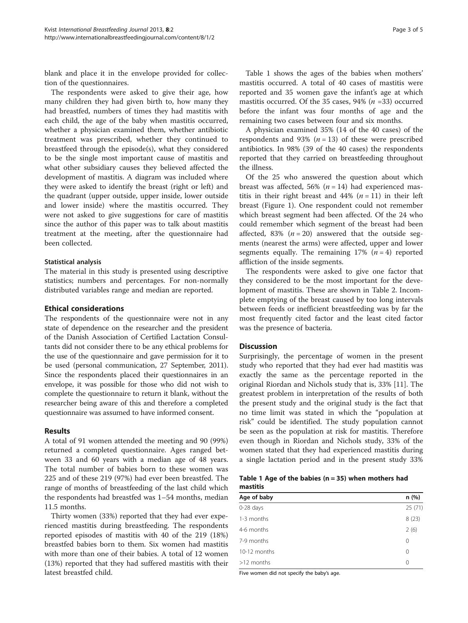blank and place it in the envelope provided for collection of the questionnaires.

The respondents were asked to give their age, how many children they had given birth to, how many they had breastfed, numbers of times they had mastitis with each child, the age of the baby when mastitis occurred, whether a physician examined them, whether antibiotic treatment was prescribed, whether they continued to breastfeed through the episode(s), what they considered to be the single most important cause of mastitis and what other subsidiary causes they believed affected the development of mastitis. A diagram was included where they were asked to identify the breast (right or left) and the quadrant (upper outside, upper inside, lower outside and lower inside) where the mastitis occurred. They were not asked to give suggestions for care of mastitis since the author of this paper was to talk about mastitis treatment at the meeting, after the questionnaire had been collected.

#### Statistical analysis

The material in this study is presented using descriptive statistics; numbers and percentages. For non-normally distributed variables range and median are reported.

#### Ethical considerations

The respondents of the questionnaire were not in any state of dependence on the researcher and the president of the Danish Association of Certified Lactation Consultants did not consider there to be any ethical problems for the use of the questionnaire and gave permission for it to be used (personal communication, 27 September, 2011). Since the respondents placed their questionnaires in an envelope, it was possible for those who did not wish to complete the questionnaire to return it blank, without the researcher being aware of this and therefore a completed questionnaire was assumed to have informed consent.

#### Results

A total of 91 women attended the meeting and 90 (99%) returned a completed questionnaire. Ages ranged between 33 and 60 years with a median age of 48 years. The total number of babies born to these women was 225 and of these 219 (97%) had ever been breastfed. The range of months of breastfeeding of the last child which the respondents had breastfed was 1–54 months, median 11.5 months.

Thirty women (33%) reported that they had ever experienced mastitis during breastfeeding. The respondents reported episodes of mastitis with 40 of the 219 (18%) breastfed babies born to them. Six women had mastitis with more than one of their babies. A total of 12 women (13%) reported that they had suffered mastitis with their latest breastfed child.

Table 1 shows the ages of the babies when mothers' mastitis occurred. A total of 40 cases of mastitis were reported and 35 women gave the infant's age at which mastitis occurred. Of the 35 cases, 94% ( $n = 33$ ) occurred before the infant was four months of age and the remaining two cases between four and six months.

A physician examined 35% (14 of the 40 cases) of the respondents and 93% ( $n = 13$ ) of these were prescribed antibiotics. In 98% (39 of the 40 cases) the respondents reported that they carried on breastfeeding throughout the illness.

Of the 25 who answered the question about which breast was affected, 56% ( $n = 14$ ) had experienced mastitis in their right breast and 44%  $(n = 11)$  in their left breast (Figure [1](#page-3-0)). One respondent could not remember which breast segment had been affected. Of the 24 who could remember which segment of the breast had been affected, 83%  $(n = 20)$  answered that the outside segments (nearest the arms) were affected, upper and lower segments equally. The remaining  $17\%$   $(n = 4)$  reported affliction of the inside segments.

The respondents were asked to give one factor that they considered to be the most important for the development of mastitis. These are shown in Table [2](#page-3-0). Incomplete emptying of the breast caused by too long intervals between feeds or inefficient breastfeeding was by far the most frequently cited factor and the least cited factor was the presence of bacteria.

## **Discussion**

Surprisingly, the percentage of women in the present study who reported that they had ever had mastitis was exactly the same as the percentage reported in the original Riordan and Nichols study that is, 33% [\[11](#page-4-0)]. The greatest problem in interpretation of the results of both the present study and the original study is the fact that no time limit was stated in which the "population at risk" could be identified. The study population cannot be seen as the population at risk for mastitis. Therefore even though in Riordan and Nichols study, 33% of the women stated that they had experienced mastitis during a single lactation period and in the present study 33%

| Table 1 Age of the babies $(n = 35)$ when mothers had |  |  |  |  |
|-------------------------------------------------------|--|--|--|--|
| mastitis                                              |  |  |  |  |

| Age of baby  | n(%)     |
|--------------|----------|
| $0-28$ days  | 25(71)   |
| 1-3 months   | 8(23)    |
| 4-6 months   | 2(6)     |
| 7-9 months   | $\Omega$ |
| 10-12 months | 0        |
| $>12$ months | 0        |
|              |          |

Five women did not specify the baby's age.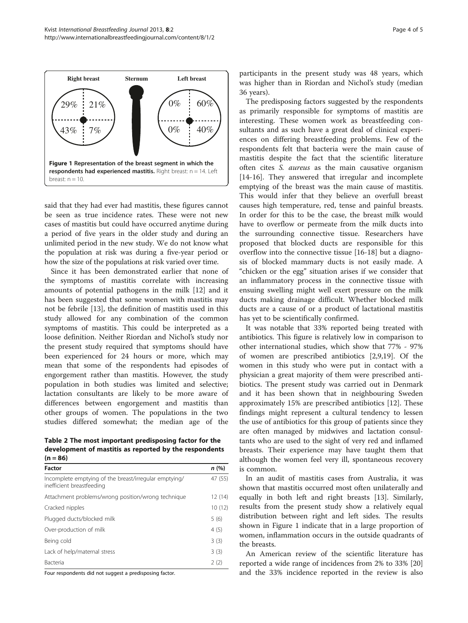<span id="page-3-0"></span>

said that they had ever had mastitis, these figures cannot be seen as true incidence rates. These were not new cases of mastitis but could have occurred anytime during a period of five years in the older study and during an unlimited period in the new study. We do not know what the population at risk was during a five-year period or how the size of the populations at risk varied over time.

Since it has been demonstrated earlier that none of the symptoms of mastitis correlate with increasing amounts of potential pathogens in the milk [[12](#page-4-0)] and it has been suggested that some women with mastitis may not be febrile [[13](#page-4-0)], the definition of mastitis used in this study allowed for any combination of the common symptoms of mastitis. This could be interpreted as a loose definition. Neither Riordan and Nichol's study nor the present study required that symptoms should have been experienced for 24 hours or more, which may mean that some of the respondents had episodes of engorgement rather than mastitis. However, the study population in both studies was limited and selective; lactation consultants are likely to be more aware of differences between engorgement and mastitis than other groups of women. The populations in the two studies differed somewhat; the median age of the

Table 2 The most important predisposing factor for the development of mastitis as reported by the respondents  $(n = 86)$ 

| Factor                                                                             | n(%)    |
|------------------------------------------------------------------------------------|---------|
| Incomplete emptying of the breast/irregular emptying/<br>inefficient breastfeeding | 47 (55) |
| Attachment problems/wrong position/wrong technique                                 | 12(14)  |
| Cracked nipples                                                                    | 10(12)  |
| Plugged ducts/blocked milk                                                         | 5(6)    |
| Over-production of milk                                                            | 4(5)    |
| Being cold                                                                         | 3(3)    |
| Lack of help/maternal stress                                                       | 3(3)    |
| <b>Bacteria</b>                                                                    | 2(2)    |

Four respondents did not suggest a predisposing factor.

participants in the present study was 48 years, which was higher than in Riordan and Nichol's study (median 36 years).

The predisposing factors suggested by the respondents as primarily responsible for symptoms of mastitis are interesting. These women work as breastfeeding consultants and as such have a great deal of clinical experiences on differing breastfeeding problems. Few of the respondents felt that bacteria were the main cause of mastitis despite the fact that the scientific literature often cites S. aureus as the main causative organism [[14-16](#page-4-0)]. They answered that irregular and incomplete emptying of the breast was the main cause of mastitis. This would infer that they believe an overfull breast causes high temperature, red, tense and painful breasts. In order for this to be the case, the breast milk would have to overflow or permeate from the milk ducts into the surrounding connective tissue. Researchers have proposed that blocked ducts are responsible for this overflow into the connective tissue [\[16-18](#page-4-0)] but a diagnosis of blocked mammary ducts is not easily made. A "chicken or the egg" situation arises if we consider that an inflammatory process in the connective tissue with ensuing swelling might well exert pressure on the milk ducts making drainage difficult. Whether blocked milk ducts are a cause of or a product of lactational mastitis has yet to be scientifically confirmed.

It was notable that 33% reported being treated with antibiotics. This figure is relatively low in comparison to other international studies, which show that 77% - 97% of women are prescribed antibiotics [[2,9,19\]](#page-4-0). Of the women in this study who were put in contact with a physician a great majority of them were prescribed antibiotics. The present study was carried out in Denmark and it has been shown that in neighbouring Sweden approximately 15% are prescribed antibiotics [[12\]](#page-4-0). These findings might represent a cultural tendency to lessen the use of antibiotics for this group of patients since they are often managed by midwives and lactation consultants who are used to the sight of very red and inflamed breasts. Their experience may have taught them that although the women feel very ill, spontaneous recovery is common.

In an audit of mastitis cases from Australia, it was shown that mastitis occurred most often unilaterally and equally in both left and right breasts [[13](#page-4-0)]. Similarly, results from the present study show a relatively equal distribution between right and left sides. The results shown in Figure 1 indicate that in a large proportion of women, inflammation occurs in the outside quadrants of the breasts.

An American review of the scientific literature has reported a wide range of incidences from 2% to 33% [[20](#page-4-0)] and the 33% incidence reported in the review is also